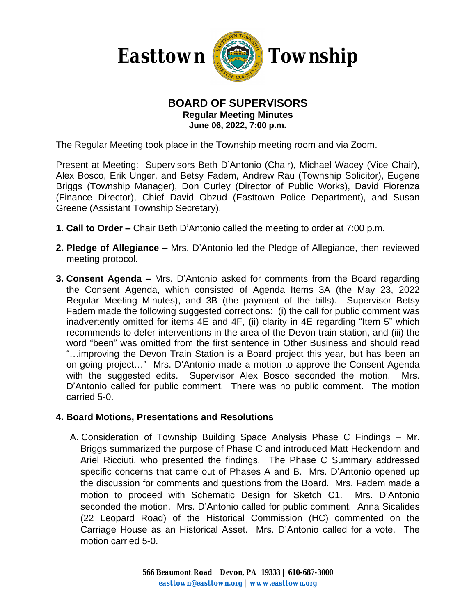

#### **BOARD OF SUPERVISORS Regular Meeting Minutes June 06, 2022, 7:00 p.m.**

The Regular Meeting took place in the Township meeting room and via Zoom.

Present at Meeting: Supervisors Beth D'Antonio (Chair), Michael Wacey (Vice Chair), Alex Bosco, Erik Unger, and Betsy Fadem, Andrew Rau (Township Solicitor), Eugene Briggs (Township Manager), Don Curley (Director of Public Works), David Fiorenza (Finance Director), Chief David Obzud (Easttown Police Department), and Susan Greene (Assistant Township Secretary).

- **1. Call to Order –** Chair Beth D'Antonio called the meeting to order at 7:00 p.m.
- **2. Pledge of Allegiance –** Mrs. D'Antonio led the Pledge of Allegiance, then reviewed meeting protocol.
- **3. Consent Agenda –** Mrs. D'Antonio asked for comments from the Board regarding the Consent Agenda, which consisted of Agenda Items 3A (the May 23, 2022 Regular Meeting Minutes), and 3B (the payment of the bills). Supervisor Betsy Fadem made the following suggested corrections: (i) the call for public comment was inadvertently omitted for items 4E and 4F, (ii) clarity in 4E regarding "Item 5" which recommends to defer interventions in the area of the Devon train station, and (iii) the word "been" was omitted from the first sentence in Other Business and should read "...improving the Devon Train Station is a Board project this year, but has been an on-going project…" Mrs. D'Antonio made a motion to approve the Consent Agenda with the suggested edits. Supervisor Alex Bosco seconded the motion. Mrs. D'Antonio called for public comment. There was no public comment. The motion carried 5-0.

#### **4. Board Motions, Presentations and Resolutions**

A. Consideration of Township Building Space Analysis Phase C Findings – Mr. Briggs summarized the purpose of Phase C and introduced Matt Heckendorn and Ariel Ricciuti, who presented the findings. The Phase C Summary addressed specific concerns that came out of Phases A and B. Mrs. D'Antonio opened up the discussion for comments and questions from the Board. Mrs. Fadem made a motion to proceed with Schematic Design for Sketch C1. Mrs. D'Antonio seconded the motion. Mrs. D'Antonio called for public comment. Anna Sicalides (22 Leopard Road) of the Historical Commission (HC) commented on the Carriage House as an Historical Asset. Mrs. D'Antonio called for a vote. The motion carried 5-0.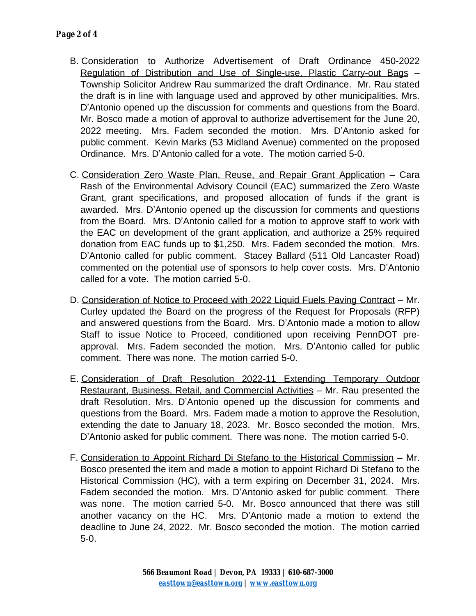- B. Consideration to Authorize Advertisement of Draft Ordinance 450-2022 Regulation of Distribution and Use of Single-use, Plastic Carry-out Bags – Township Solicitor Andrew Rau summarized the draft Ordinance. Mr. Rau stated the draft is in line with language used and approved by other municipalities. Mrs. D'Antonio opened up the discussion for comments and questions from the Board. Mr. Bosco made a motion of approval to authorize advertisement for the June 20, 2022 meeting. Mrs. Fadem seconded the motion. Mrs. D'Antonio asked for public comment. Kevin Marks (53 Midland Avenue) commented on the proposed Ordinance. Mrs. D'Antonio called for a vote. The motion carried 5-0.
- C. Consideration Zero Waste Plan, Reuse, and Repair Grant Application Cara Rash of the Environmental Advisory Council (EAC) summarized the Zero Waste Grant, grant specifications, and proposed allocation of funds if the grant is awarded. Mrs. D'Antonio opened up the discussion for comments and questions from the Board. Mrs. D'Antonio called for a motion to approve staff to work with the EAC on development of the grant application, and authorize a 25% required donation from EAC funds up to \$1,250. Mrs. Fadem seconded the motion. Mrs. D'Antonio called for public comment. Stacey Ballard (511 Old Lancaster Road) commented on the potential use of sponsors to help cover costs. Mrs. D'Antonio called for a vote. The motion carried 5-0.
- D. Consideration of Notice to Proceed with 2022 Liquid Fuels Paving Contract Mr. Curley updated the Board on the progress of the Request for Proposals (RFP) and answered questions from the Board. Mrs. D'Antonio made a motion to allow Staff to issue Notice to Proceed, conditioned upon receiving PennDOT preapproval. Mrs. Fadem seconded the motion. Mrs. D'Antonio called for public comment. There was none. The motion carried 5-0.
- E. Consideration of Draft Resolution 2022-11 Extending Temporary Outdoor Restaurant, Business, Retail, and Commercial Activities – Mr. Rau presented the draft Resolution. Mrs. D'Antonio opened up the discussion for comments and questions from the Board. Mrs. Fadem made a motion to approve the Resolution, extending the date to January 18, 2023. Mr. Bosco seconded the motion. Mrs. D'Antonio asked for public comment. There was none. The motion carried 5-0.
- F. Consideration to Appoint Richard Di Stefano to the Historical Commission Mr. Bosco presented the item and made a motion to appoint Richard Di Stefano to the Historical Commission (HC), with a term expiring on December 31, 2024. Mrs. Fadem seconded the motion. Mrs. D'Antonio asked for public comment. There was none. The motion carried 5-0. Mr. Bosco announced that there was still another vacancy on the HC. Mrs. D'Antonio made a motion to extend the deadline to June 24, 2022. Mr. Bosco seconded the motion. The motion carried 5-0.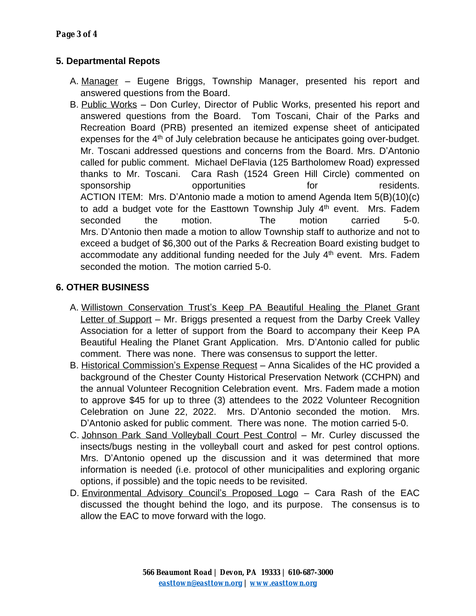# **5. Departmental Repots**

- A. Manager Eugene Briggs, Township Manager, presented his report and answered questions from the Board.
- B. Public Works Don Curley, Director of Public Works, presented his report and answered questions from the Board. Tom Toscani, Chair of the Parks and Recreation Board (PRB) presented an itemized expense sheet of anticipated expenses for the 4<sup>th</sup> of July celebration because he anticipates going over-budget. Mr. Toscani addressed questions and concerns from the Board. Mrs. D'Antonio called for public comment. Michael DeFlavia (125 Bartholomew Road) expressed thanks to Mr. Toscani. Cara Rash (1524 Green Hill Circle) commented on sponsorship opportunities for residents. ACTION ITEM: Mrs. D'Antonio made a motion to amend Agenda Item 5(B)(10)(c) to add a budget vote for the Easttown Township July 4<sup>th</sup> event. Mrs. Fadem seconded the motion. The motion carried 5-0. Mrs. D'Antonio then made a motion to allow Township staff to authorize and not to exceed a budget of \$6,300 out of the Parks & Recreation Board existing budget to accommodate any additional funding needed for the July 4<sup>th</sup> event. Mrs. Fadem seconded the motion. The motion carried 5-0.

# **6. OTHER BUSINESS**

- A. Willistown Conservation Trust's Keep PA Beautiful Healing the Planet Grant Letter of Support – Mr. Briggs presented a request from the Darby Creek Valley Association for a letter of support from the Board to accompany their Keep PA Beautiful Healing the Planet Grant Application. Mrs. D'Antonio called for public comment. There was none. There was consensus to support the letter.
- B. Historical Commission's Expense Request Anna Sicalides of the HC provided a background of the Chester County Historical Preservation Network (CCHPN) and the annual Volunteer Recognition Celebration event. Mrs. Fadem made a motion to approve \$45 for up to three (3) attendees to the 2022 Volunteer Recognition Celebration on June 22, 2022. Mrs. D'Antonio seconded the motion. Mrs. D'Antonio asked for public comment. There was none. The motion carried 5-0.
- C. Johnson Park Sand Volleyball Court Pest Control Mr. Curley discussed the insects/bugs nesting in the volleyball court and asked for pest control options. Mrs. D'Antonio opened up the discussion and it was determined that more information is needed (i.e. protocol of other municipalities and exploring organic options, if possible) and the topic needs to be revisited.
- D. Environmental Advisory Council's Proposed Logo Cara Rash of the EAC discussed the thought behind the logo, and its purpose. The consensus is to allow the EAC to move forward with the logo.